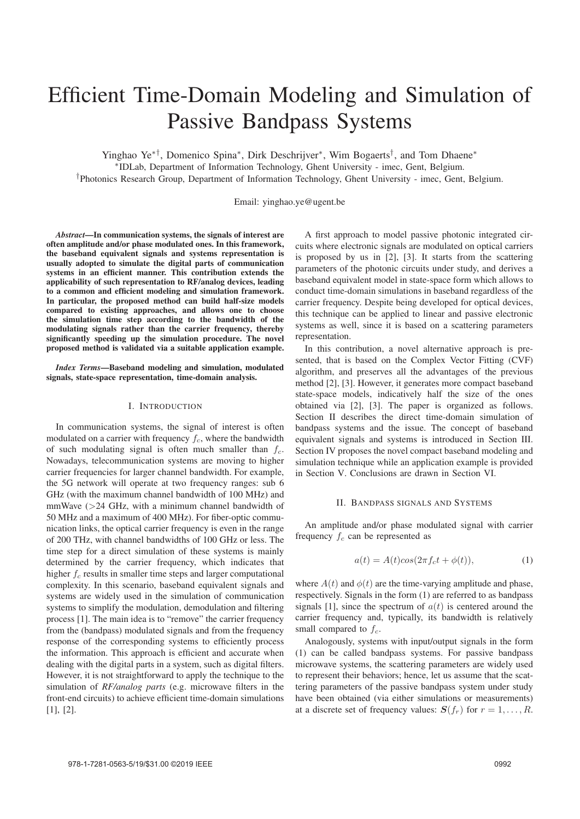# Efficient Time-Domain Modeling and Simulation of Passive Bandpass Systems

Yinghao Ye∗†, Domenico Spina∗, Dirk Deschrijver∗, Wim Bogaerts†, and Tom Dhaene∗

∗IDLab, Department of Information Technology, Ghent University - imec, Gent, Belgium.

†Photonics Research Group, Department of Information Technology, Ghent University - imec, Gent, Belgium.

Email: yinghao.ye@ugent.be

*Abstract***—In communication systems, the signals of interest are often amplitude and/or phase modulated ones. In this framework, the baseband equivalent signals and systems representation is usually adopted to simulate the digital parts of communication systems in an efficient manner. This contribution extends the applicability of such representation to RF/analog devices, leading to a common and efficient modeling and simulation framework. In particular, the proposed method can build half-size models compared to existing approaches, and allows one to choose the simulation time step according to the bandwidth of the modulating signals rather than the carrier frequency, thereby significantly speeding up the simulation procedure. The novel proposed method is validated via a suitable application example.**

*Index Terms***—Baseband modeling and simulation, modulated signals, state-space representation, time-domain analysis.**

#### I. INTRODUCTION

In communication systems, the signal of interest is often modulated on a carrier with frequency  $f_c$ , where the bandwidth of such modulating signal is often much smaller than  $f_c$ . Nowadays, telecommunication systems are moving to higher carrier frequencies for larger channel bandwidth. For example, the 5G network will operate at two frequency ranges: sub 6 GHz (with the maximum channel bandwidth of 100 MHz) and mmWave  $(>=24 \text{ GHz}, \text{ with a minimum channel bandwidth of})$ 50 MHz and a maximum of 400 MHz). For fiber-optic communication links, the optical carrier frequency is even in the range of 200 THz, with channel bandwidths of 100 GHz or less. The time step for a direct simulation of these systems is mainly determined by the carrier frequency, which indicates that higher  $f_c$  results in smaller time steps and larger computational complexity. In this scenario, baseband equivalent signals and systems are widely used in the simulation of communication systems to simplify the modulation, demodulation and filtering process [1]. The main idea is to "remove" the carrier frequency from the (bandpass) modulated signals and from the frequency response of the corresponding systems to efficiently process the information. This approach is efficient and accurate when dealing with the digital parts in a system, such as digital filters. However, it is not straightforward to apply the technique to the simulation of *RF/analog parts* (e.g. microwave filters in the front-end circuits) to achieve efficient time-domain simulations [1], [2].

A first approach to model passive photonic integrated circuits where electronic signals are modulated on optical carriers is proposed by us in [2], [3]. It starts from the scattering parameters of the photonic circuits under study, and derives a baseband equivalent model in state-space form which allows to conduct time-domain simulations in baseband regardless of the carrier frequency. Despite being developed for optical devices, this technique can be applied to linear and passive electronic systems as well, since it is based on a scattering parameters representation.

In this contribution, a novel alternative approach is presented, that is based on the Complex Vector Fitting (CVF) algorithm, and preserves all the advantages of the previous method [2], [3]. However, it generates more compact baseband state-space models, indicatively half the size of the ones obtained via [2], [3]. The paper is organized as follows. Section II describes the direct time-domain simulation of bandpass systems and the issue. The concept of baseband equivalent signals and systems is introduced in Section III. Section IV proposes the novel compact baseband modeling and simulation technique while an application example is provided in Section V. Conclusions are drawn in Section VI.

#### II. BANDPASS SIGNALS AND SYSTEMS

An amplitude and/or phase modulated signal with carrier frequency  $f_c$  can be represented as

$$
a(t) = A(t)\cos(2\pi f_c t + \phi(t)),\tag{1}
$$

where  $A(t)$  and  $\phi(t)$  are the time-varying amplitude and phase, respectively. Signals in the form (1) are referred to as bandpass signals [1], since the spectrum of  $a(t)$  is centered around the carrier frequency and, typically, its bandwidth is relatively small compared to  $f_c$ .

Analogously, systems with input/output signals in the form (1) can be called bandpass systems. For passive bandpass microwave systems, the scattering parameters are widely used to represent their behaviors; hence, let us assume that the scattering parameters of the passive bandpass system under study have been obtained (via either simulations or measurements) at a discrete set of frequency values:  $S(f_r)$  for  $r = 1, \ldots, R$ .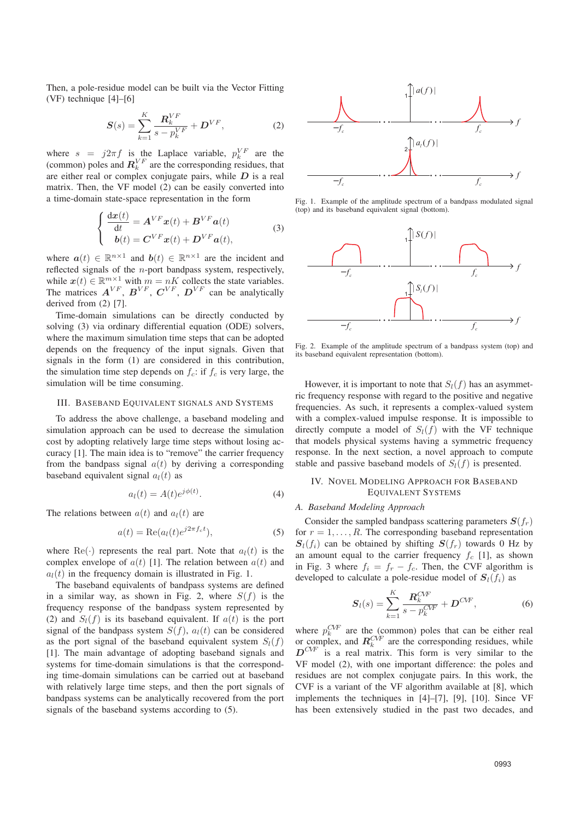Then, a pole-residue model can be built via the Vector Fitting (VF) technique [4]–[6]

$$
S(s) = \sum_{k=1}^{K} \frac{R_k^{VF}}{s - p_k^{VF}} + D^{VF},
$$
 (2)

where  $s = j2\pi f$  is the Laplace variable,  $p_k^{VF}$  are the (common) poles and  $\mathbf{R}_k^{VF}$  are the corresponding residues, that are either real or complex conjugate pairs, while  $D$  is a real matrix. Then, the VF model (2) can be easily converted into a time-domain state-space representation in the form

$$
\begin{cases}\n\frac{\mathrm{d}\boldsymbol{x}(t)}{\mathrm{d}t} = \boldsymbol{A}^{VF}\boldsymbol{x}(t) + \boldsymbol{B}^{VF}\boldsymbol{a}(t) \\
\boldsymbol{b}(t) = \boldsymbol{C}^{VF}\boldsymbol{x}(t) + \boldsymbol{D}^{VF}\boldsymbol{a}(t),\n\end{cases}
$$
\n(3)

where  $a(t) \in \mathbb{R}^{n \times 1}$  and  $b(t) \in \mathbb{R}^{n \times 1}$  are the incident and reflected signals of the  $n$ -port bandpass system, respectively, while  $x(t) \in \mathbb{R}^{m \times 1}$  with  $m = nK$  collects the state variables. The matrices  $A^{VF}$ ,  $B^{VF}$ ,  $C^{VF}$ ,  $D^{VF}$  can be analytically derived from (2) [7].

Time-domain simulations can be directly conducted by solving (3) via ordinary differential equation (ODE) solvers, where the maximum simulation time steps that can be adopted depends on the frequency of the input signals. Given that signals in the form (1) are considered in this contribution, the simulation time step depends on  $f_c$ : if  $f_c$  is very large, the simulation will be time consuming.

## III. BASEBAND EQUIVALENT SIGNALS AND SYSTEMS

To address the above challenge, a baseband modeling and simulation approach can be used to decrease the simulation cost by adopting relatively large time steps without losing accuracy [1]. The main idea is to "remove" the carrier frequency from the bandpass signal  $a(t)$  by deriving a corresponding baseband equivalent signal  $a_l(t)$  as

$$
a_l(t) = A(t)e^{j\phi(t)}.
$$
 (4)

The relations between  $a(t)$  and  $a_l(t)$  are

$$
a(t) = \text{Re}(a_l(t)e^{j2\pi f_c t}),\tag{5}
$$

where Re( $\cdot$ ) represents the real part. Note that  $a_l(t)$  is the complex envelope of  $a(t)$  [1]. The relation between  $a(t)$  and  $a_l(t)$  in the frequency domain is illustrated in Fig. 1.

The baseband equivalents of bandpass systems are defined in a similar way, as shown in Fig. 2, where  $S(f)$  is the frequency response of the bandpass system represented by (2) and  $S_l(f)$  is its baseband equivalent. If  $a(t)$  is the port signal of the bandpass system  $S(f)$ ,  $a_l(t)$  can be considered as the port signal of the baseband equivalent system  $S_l(f)$ [1]. The main advantage of adopting baseband signals and systems for time-domain simulations is that the corresponding time-domain simulations can be carried out at baseband with relatively large time steps, and then the port signals of bandpass systems can be analytically recovered from the port signals of the baseband systems according to (5).



Fig. 1. Example of the amplitude spectrum of a bandpass modulated signal (top) and its baseband equivalent signal (bottom).



Fig. 2. Example of the amplitude spectrum of a bandpass system (top) and its baseband equivalent representation (bottom).

However, it is important to note that  $S_l(f)$  has an asymmetric frequency response with regard to the positive and negative frequencies. As such, it represents a complex-valued system with a complex-valued impulse response. It is impossible to directly compute a model of  $S_l(f)$  with the VF technique that models physical systems having a symmetric frequency response. In the next section, a novel approach to compute stable and passive baseband models of  $S_l(f)$  is presented.

# IV. NOVEL MODELING APPROACH FOR BASEBAND EQUIVALENT SYSTEMS

### *A. Baseband Modeling Approach*

Consider the sampled bandpass scattering parameters  $S(f_r)$ for  $r = 1, \ldots, R$ . The corresponding baseband representation  $S_l(f_i)$  can be obtained by shifting  $S(f_r)$  towards 0 Hz by an amount equal to the carrier frequency  $f_c$  [1], as shown in Fig. 3 where  $f_i = f_r - f_c$ . Then, the CVF algorithm is developed to calculate a pole-residue model of  $S_l(f_i)$  as

$$
S_l(s) = \sum_{k=1}^{K} \frac{R_k^{CVF}}{s - p_k^{CVF}} + D^{CVF},
$$
 (6)

where  $p_k^{CVF}$  are the (common) poles that can be either real or complex, and  $R_k^{CVF}$  are the corresponding residues, while  $D^{CVF}$  is a real matrix. This form is very similar to the VF model (2), with one important difference: the poles and residues are not complex conjugate pairs. In this work, the CVF is a variant of the VF algorithm available at [8], which implements the techniques in [4]–[7], [9], [10]. Since VF has been extensively studied in the past two decades, and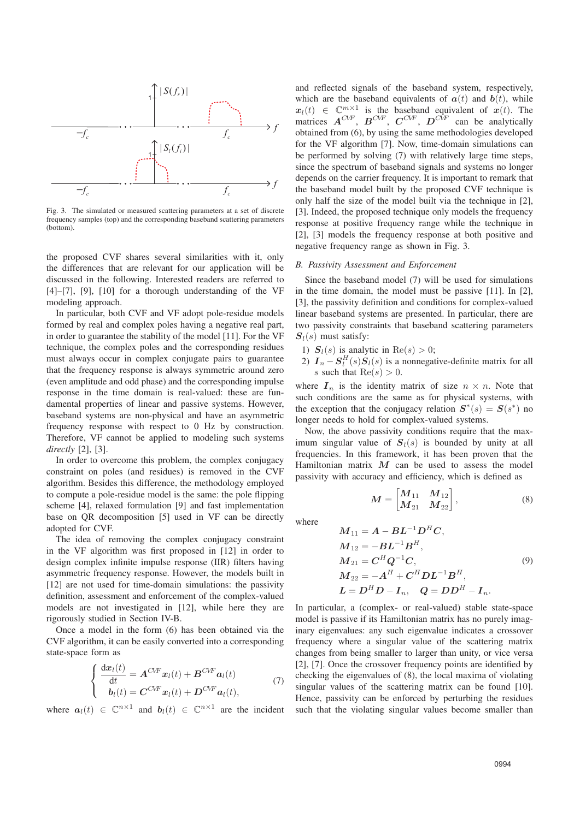

Fig. 3. The simulated or measured scattering parameters at a set of discrete frequency samples (top) and the corresponding baseband scattering parameters (bottom).

the proposed CVF shares several similarities with it, only the differences that are relevant for our application will be discussed in the following. Interested readers are referred to [4]–[7], [9], [10] for a thorough understanding of the VF modeling approach.

In particular, both CVF and VF adopt pole-residue models formed by real and complex poles having a negative real part, in order to guarantee the stability of the model [11]. For the VF technique, the complex poles and the corresponding residues must always occur in complex conjugate pairs to guarantee that the frequency response is always symmetric around zero (even amplitude and odd phase) and the corresponding impulse response in the time domain is real-valued: these are fundamental properties of linear and passive systems. However, baseband systems are non-physical and have an asymmetric frequency response with respect to 0 Hz by construction. Therefore, VF cannot be applied to modeling such systems *directly* [2], [3].

In order to overcome this problem, the complex conjugacy constraint on poles (and residues) is removed in the CVF algorithm. Besides this difference, the methodology employed to compute a pole-residue model is the same: the pole flipping scheme [4], relaxed formulation [9] and fast implementation base on QR decomposition [5] used in VF can be directly adopted for CVF.

The idea of removing the complex conjugacy constraint in the VF algorithm was first proposed in [12] in order to design complex infinite impulse response (IIR) filters having asymmetric frequency response. However, the models built in [12] are not used for time-domain simulations: the passivity definition, assessment and enforcement of the complex-valued models are not investigated in [12], while here they are rigorously studied in Section IV-B.

Once a model in the form (6) has been obtained via the CVF algorithm, it can be easily converted into a corresponding state-space form as

$$
\begin{cases}\n\frac{d\boldsymbol{x}_l(t)}{dt} = \boldsymbol{A}^{C\!V\!F}\boldsymbol{x}_l(t) + \boldsymbol{B}^{C\!V\!F}\boldsymbol{a}_l(t) \\
\boldsymbol{b}_l(t) = \boldsymbol{C}^{C\!V\!F}\boldsymbol{x}_l(t) + \boldsymbol{D}^{C\!V\!F}\boldsymbol{a}_l(t),\n\end{cases} \tag{7}
$$

where  $a_l(t) \in \mathbb{C}^{n \times 1}$  and  $b_l(t) \in \mathbb{C}^{n \times 1}$  are the incident

and reflected signals of the baseband system, respectively, which are the baseband equivalents of  $a(t)$  and  $b(t)$ , while  $x_l(t) \in \mathbb{C}^{m \times 1}$  is the baseband equivalent of  $x(t)$ . The matrices  $A^{CVF}$ ,  $B^{CVF}$ ,  $C^{CVF}$ ,  $D^{CVF}$  can be analytically obtained from (6), by using the same methodologies developed for the VF algorithm [7]. Now, time-domain simulations can be performed by solving (7) with relatively large time steps, since the spectrum of baseband signals and systems no longer depends on the carrier frequency. It is important to remark that the baseband model built by the proposed CVF technique is only half the size of the model built via the technique in [2], [3]. Indeed, the proposed technique only models the frequency response at positive frequency range while the technique in [2], [3] models the frequency response at both positive and negative frequency range as shown in Fig. 3.

### *B. Passivity Assessment and Enforcement*

Since the baseband model (7) will be used for simulations in the time domain, the model must be passive [11]. In [2], [3], the passivity definition and conditions for complex-valued linear baseband systems are presented. In particular, there are two passivity constraints that baseband scattering parameters  $S_l(s)$  must satisfy:

- 1)  $S_l(s)$  is analytic in  $Re(s) > 0$ ;
- 2)  $I_n S_l^H(s)S_l(s)$  is a nonnegative-definite matrix for all s such that  $Re(s) > 0$ .

where  $I_n$  is the identity matrix of size  $n \times n$ . Note that such conditions are the same as for physical systems, with the exception that the conjugacy relation  $S^*(s) = S(s^*)$  no longer needs to hold for complex-valued systems.

Now, the above passivity conditions require that the maximum singular value of  $S_l(s)$  is bounded by unity at all frequencies. In this framework, it has been proven that the Hamiltonian matrix  $M$  can be used to assess the model passivity with accuracy and efficiency, which is defined as

 $\bm{M} = \begin{bmatrix} \bm{M}_{11} & \bm{M}_{12} \ \bm{M}_{21} & \bm{M}_{22} \end{bmatrix}$ 

where

$$
M_{11} = A - BL^{-1}D^{H}C,
$$
  
\n
$$
M_{12} = -BL^{-1}B^{H},
$$
  
\n
$$
M_{21} = C^{H}Q^{-1}C,
$$
  
\n
$$
M_{22} = -A^{H} + C^{H}DL^{-1}B^{H},
$$
  
\n
$$
L = D^{H}D - I_{n}, \quad Q = DD^{H} - I_{n}.
$$
\n(9)

In particular, a (complex- or real-valued) stable state-space model is passive if its Hamiltonian matrix has no purely imaginary eigenvalues: any such eigenvalue indicates a crossover frequency where a singular value of the scattering matrix changes from being smaller to larger than unity, or vice versa [2], [7]. Once the crossover frequency points are identified by checking the eigenvalues of (8), the local maxima of violating singular values of the scattering matrix can be found [10]. Hence, passivity can be enforced by perturbing the residues such that the violating singular values become smaller than

, (8)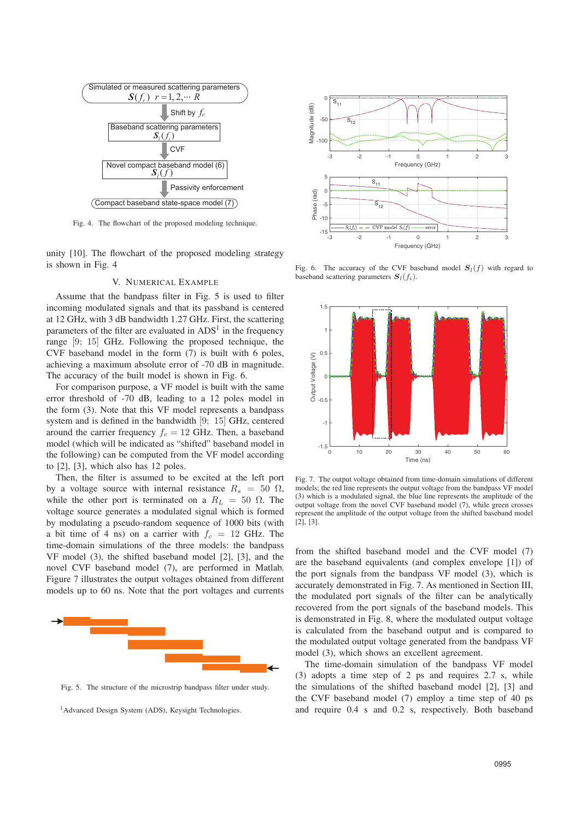

Fig. 4. The flowchart of the proposed modeling technique.

unity [10]. The flowchart of the proposed modeling strategy is shown in Fig. 4

# V. NUMERICAL EXAMPLE

Assume that the bandpass filter in Fig. 5 is used to filter incoming modulated signals and that its passband is centered at 12 GHz, with 3 dB bandwidth 1.27 GHz. First, the scattering parameters of the filter are evaluated in  $ADS<sup>1</sup>$  in the frequency range [9; 15] GHz. Following the proposed technique, the CVF baseband model in the form (7) is built with 6 poles, achieving a maximum absolute error of -70 dB in magnitude. The accuracy of the built model is shown in Fig. 6.

For comparison purpose, a VF model is built with the same error threshold of -70 dB, leading to a 12 poles model in the form (3). Note that this VF model represents a bandpass system and is defined in the bandwidth [9; 15] GHz, centered around the carrier frequency  $f_c = 12$  GHz. Then, a baseband model (which will be indicated as "shifted" baseband model in the following) can be computed from the VF model according to [2], [3], which also has 12 poles.

Then, the filter is assumed to be excited at the left port by a voltage source with internal resistance  $R_s = 50 \Omega$ , while the other port is terminated on a  $R_L = 50 \Omega$ . The voltage source generates a modulated signal which is formed by modulating a pseudo-random sequence of 1000 bits (with a bit time of 4 ns) on a carrier with  $f_c = 12$  GHz. The time-domain simulations of the three models: the bandpass VF model (3), the shifted baseband model [2], [3], and the novel CVF baseband model (7), are performed in Matlab. Figure 7 illustrates the output voltages obtained from different models up to 60 ns. Note that the port voltages and currents



Fig. 5. The structure of the microstrip bandpass filter under study.

1Advanced Design System (ADS), Keysight Technologies.



Fig. 6. The accuracy of the CVF baseband model  $S_l(f)$  with regard to baseband scattering parameters  $S_l(f_i)$ .



Fig. 7. The output voltage obtained from time-domain simulations of different models; the red line represents the output voltage from the bandpass VF model (3) which is a modulated signal, the blue line represents the amplitude of the output voltage from the novel CVF baseband model (7), while green crosses represent the amplitude of the output voltage from the shifted baseband model [2], [3].

from the shifted baseband model and the CVF model (7) are the baseband equivalents (and complex envelope [1]) of the port signals from the bandpass VF model (3), which is accurately demonstrated in Fig. 7. As mentioned in Section III, the modulated port signals of the filter can be analytically recovered from the port signals of the baseband models. This is demonstrated in Fig. 8, where the modulated output voltage is calculated from the baseband output and is compared to the modulated output voltage generated from the bandpass VF model (3), which shows an excellent agreement.

The time-domain simulation of the bandpass VF model (3) adopts a time step of 2 ps and requires 2.7 s, while the simulations of the shifted baseband model [2], [3] and the CVF baseband model (7) employ a time step of 40 ps and require 0.4 s and 0.2 s, respectively. Both baseband